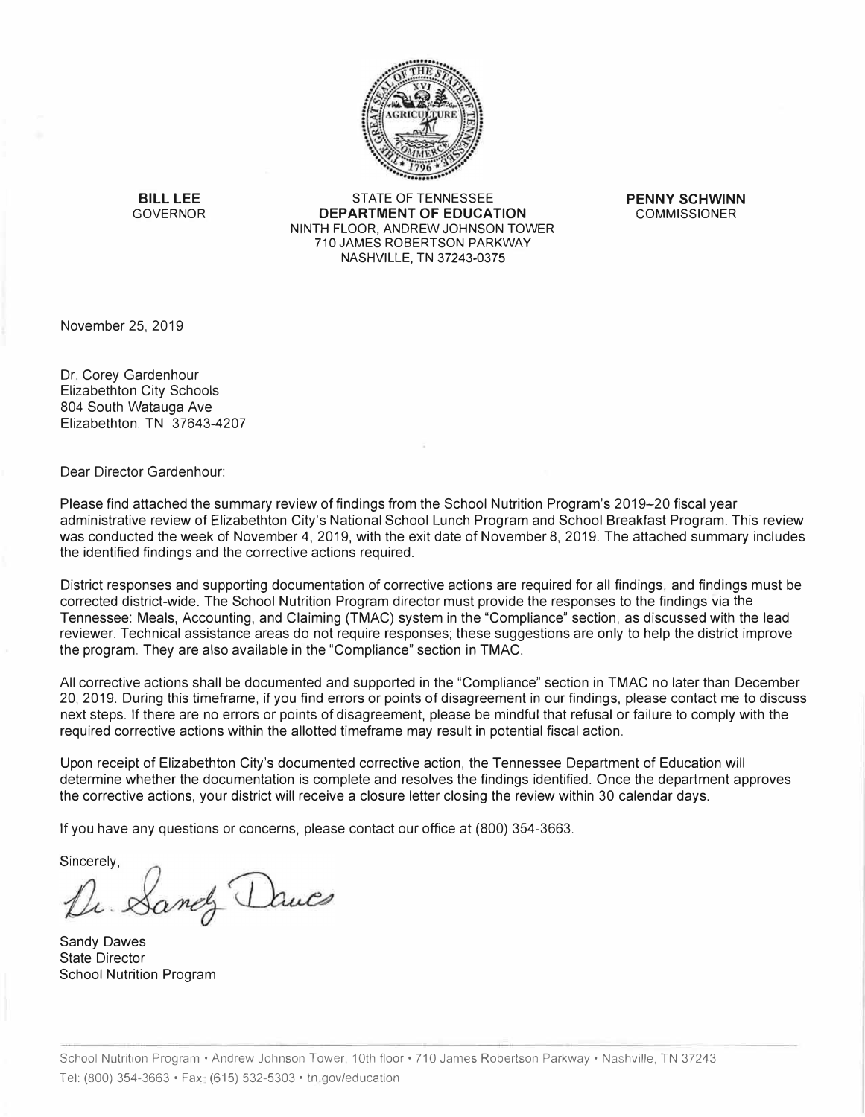

**BILL LEE** STATE OF TENNESSEE **PENNY SCHWINN DEPARTMENT OF EDUCATION** NINTH FLOOR, ANDREW JOHNSON TOWER 710 JAMES ROBERTSON PARKWAY NASHVILLE, TN 37243-0375

November 25, 2019

Dr. Corey Gardenhour Elizabethton City Schools 804 South Watauga Ave Elizabethton, TN 37643-4207

Dear Director Gardenhour:

Please find attached the summary review of findings from the School Nutrition Program's 2019-20 fiscal year administrative review of Elizabethton City's National School Lunch Program and School Breakfast Program. This review was conducted the week of November 4, 2019, with the exit date of November 8, 2019. The attached summary includes the identified findings and the corrective actions required.

District responses and supporting documentation of corrective actions are required for all findings, and findings must be corrected district-wide. The School Nutrition Program director must provide the responses to the findings via the Tennessee: Meals, Accounting, and Claiming (TMAC) system in the "Compliance" section, as discussed with the lead reviewer. Technical assistance areas do not require responses; these suggestions are only to help the district improve the program. They are also available in the "Compliance" section in TMAC.

All corrective actions shall be documented and supported in the "Compliance" section in TMAC no later than December 20, 2019. During this timeframe, if you find errors or points of disagreement in our findings, please contact me to discuss next steps. If there are no errors or points of disagreement, please be mindful that refusal or failure to comply with the required corrective actions within the allotted timeframe may result in potential fiscal action.

Upon receipt of Elizabethton City's documented corrective action, the Tennessee Department of Education will determine whether the documentation is complete and resolves the findings identified. Once the department approves the corrective actions, your district will receive a closure letter closing the review within 30 calendar days.

If you have any questions or concerns, please contact our office at (800) 354-3663.

Sincerely,

Le Sandy Dauces

Sandy Dawes State Director School Nutrition Program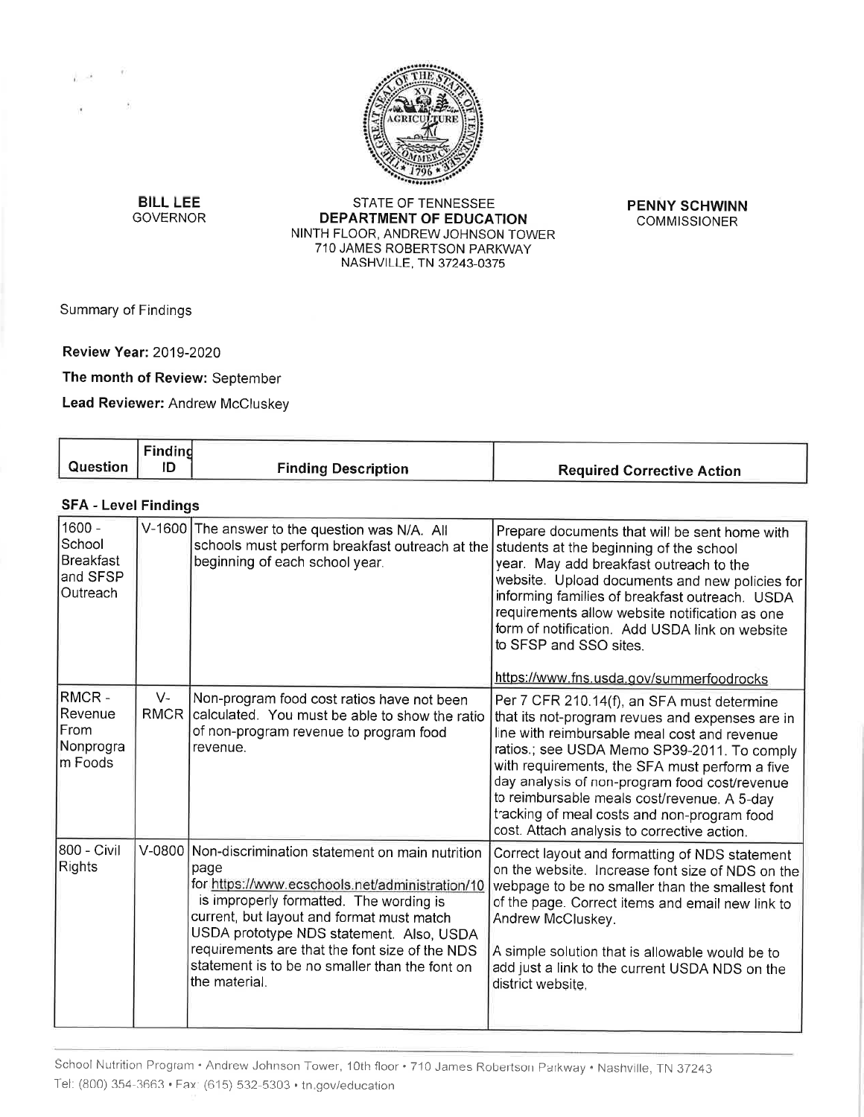

**BILL LEE GOVERNOR** 

STATE OF TENNESSEE DEPARTMENT OF EDUCATION NINTH FLOOR, ANDREW JOHNSON TOWER 710 JAMES ROBERTSON PARKWAY NASHVILLE, TN 37243-0375

**PENNY SCHWINN COMMISSIONER** 

Summary of Findings

 $\rightarrow$ 

**Review Year: 2019-2020** 

The month of Review: September

Lead Reviewer: Andrew McCluskey

| Question                                              | <b>Finding</b><br>ID | <b>Finding Description</b>                                                                                                                                                                                                                                                                                                                                         | <b>Required Corrective Action</b>                                                                                                                                                                                                                                                                                                                                                                                                            |
|-------------------------------------------------------|----------------------|--------------------------------------------------------------------------------------------------------------------------------------------------------------------------------------------------------------------------------------------------------------------------------------------------------------------------------------------------------------------|----------------------------------------------------------------------------------------------------------------------------------------------------------------------------------------------------------------------------------------------------------------------------------------------------------------------------------------------------------------------------------------------------------------------------------------------|
| <b>SFA - Level Findings</b>                           |                      |                                                                                                                                                                                                                                                                                                                                                                    |                                                                                                                                                                                                                                                                                                                                                                                                                                              |
| 1600 -<br>School<br>Breakfast<br>and SFSP<br>Outreach |                      | V-1600 The answer to the question was N/A. All<br>schools must perform breakfast outreach at the<br>beginning of each school year.                                                                                                                                                                                                                                 | Prepare documents that will be sent home with<br>students at the beginning of the school<br>year. May add breakfast outreach to the<br>website. Upload documents and new policies for<br>informing families of breakfast outreach. USDA<br>requirements allow website notification as one<br>form of notification. Add USDA link on website<br>to SFSP and SSO sites.<br>https://www.fns.usda.gov/summerfoodrocks                            |
| RMCR -<br> Revenue<br> From<br>Nonprogra<br>lm Foods  | $V -$<br><b>RMCR</b> | Non-program food cost ratios have not been<br>calculated. You must be able to show the ratio<br>of non-program revenue to program food<br>revenue.                                                                                                                                                                                                                 | Per 7 CFR 210.14(f), an SFA must determine<br>that its not-program revues and expenses are in<br>line with reimbursable meal cost and revenue<br>ratios.; see USDA Memo SP39-2011. To comply<br>with requirements, the SFA must perform a five<br>day analysis of non-program food cost/revenue<br>to reimbursable meals cost/revenue. A 5-day<br>tracking of meal costs and non-program food<br>cost. Attach analysis to corrective action. |
| 800 - Civil<br>Rights                                 | $V-0800$             | Non-discrimination statement on main nutrition<br>page<br>for https://www.ecschools.net/administration/10<br>is improperly formatted. The wording is<br>current, but layout and format must match<br>USDA prototype NDS statement. Also, USDA<br>requirements are that the font size of the NDS<br>statement is to be no smaller than the font on<br>the material. | Correct layout and formatting of NDS statement<br>on the website. Increase font size of NDS on the<br>webpage to be no smaller than the smallest font<br>of the page. Correct items and email new link to<br>Andrew McCluskey.<br>A simple solution that is allowable would be to<br>add just a link to the current USDA NDS on the<br>district website.                                                                                     |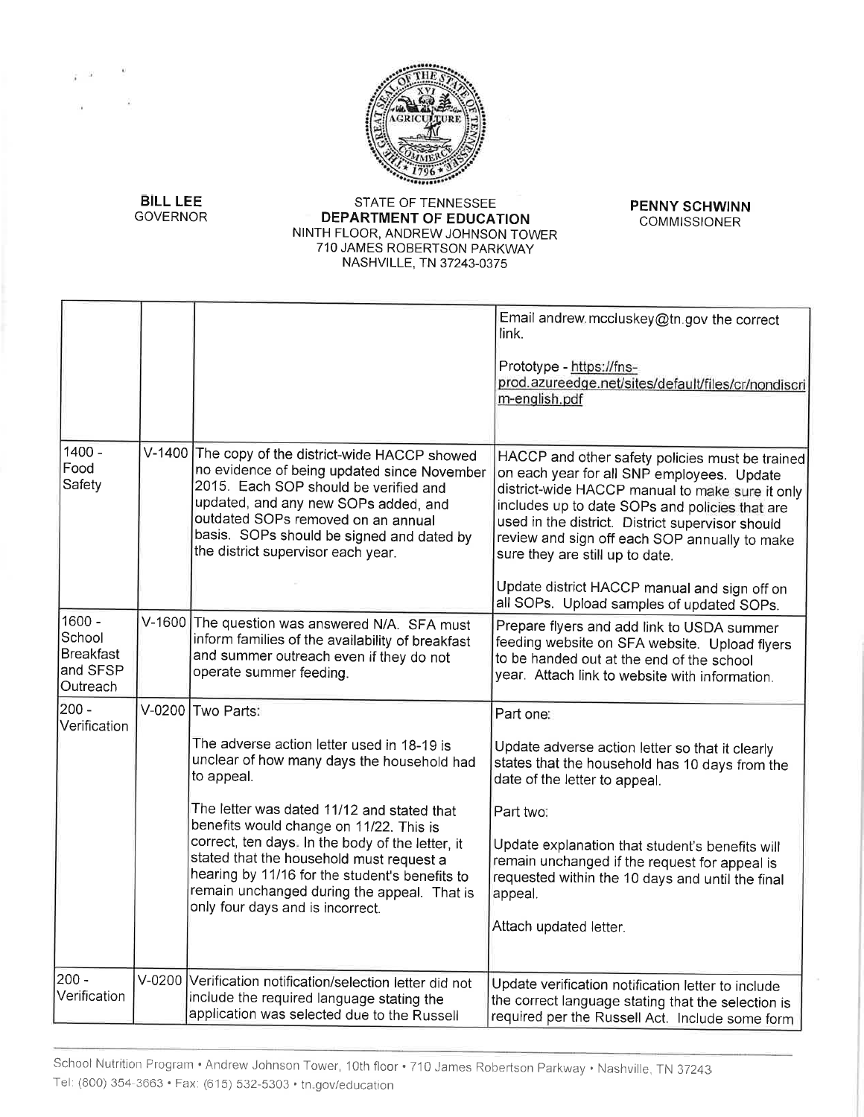

**PENNY SCHWINN COMMISSIONER** 

**BILL LEE GOVERNOR** 

 $\lambda$ 

### STATE OF TENNESSEE DEPARTMENT OF EDUCATION NINTH FLOOR, ANDREW JOHNSON TOWER 710 JAMES ROBERTSON PARKWAY NASHVILLE, TN 37243-0375

|                                                       |                                                                                                                                                                                                                                                                                                                                                                                                                                                           | Email andrew mccluskey@tn.gov the correct<br>link.<br>Prototype - https://fns-<br>prod.azureedge.net/sites/default/files/cr/nondiscri<br>m-english.pdf                                                                                                                                                                                                                                                                                  |
|-------------------------------------------------------|-----------------------------------------------------------------------------------------------------------------------------------------------------------------------------------------------------------------------------------------------------------------------------------------------------------------------------------------------------------------------------------------------------------------------------------------------------------|-----------------------------------------------------------------------------------------------------------------------------------------------------------------------------------------------------------------------------------------------------------------------------------------------------------------------------------------------------------------------------------------------------------------------------------------|
| $1400 -$<br>Food<br>Safety                            | V-1400 The copy of the district-wide HACCP showed<br>no evidence of being updated since November<br>2015. Each SOP should be verified and<br>updated, and any new SOPs added, and<br>outdated SOPs removed on an annual<br>basis. SOPs should be signed and dated by<br>the district supervisor each year.                                                                                                                                                | HACCP and other safety policies must be trained<br>on each year for all SNP employees. Update<br>district-wide HACCP manual to make sure it only<br>includes up to date SOPs and policies that are<br>used in the district. District supervisor should<br>review and sign off each SOP annually to make<br>sure they are still up to date.<br>Update district HACCP manual and sign off on<br>all SOPs. Upload samples of updated SOPs. |
| 1600 -<br>School<br>Breakfast<br>and SFSP<br>Outreach | V-1600 The question was answered N/A. SFA must<br>inform families of the availability of breakfast<br>and summer outreach even if they do not<br>operate summer feeding.                                                                                                                                                                                                                                                                                  | Prepare flyers and add link to USDA summer<br>feeding website on SFA website. Upload flyers<br>to be handed out at the end of the school<br>year. Attach link to website with information.                                                                                                                                                                                                                                              |
| 200 -<br>Verification                                 | V-0200 Two Parts:<br>The adverse action letter used in 18-19 is<br>unclear of how many days the household had<br>to appeal.<br>The letter was dated 11/12 and stated that<br>benefits would change on 11/22. This is<br>correct, ten days. In the body of the letter, it<br>stated that the household must request a<br>hearing by 11/16 for the student's benefits to<br>remain unchanged during the appeal. That is<br>only four days and is incorrect. | Part one:<br>Update adverse action letter so that it clearly<br>states that the household has 10 days from the<br>date of the letter to appeal.<br>Part two:<br>Update explanation that student's benefits will<br>remain unchanged if the request for appeal is<br>requested within the 10 days and until the final<br>appeal.<br>Attach updated letter.                                                                               |
| $200 -$<br>Verification                               | V-0200 Verification notification/selection letter did not<br>include the required language stating the<br>application was selected due to the Russell                                                                                                                                                                                                                                                                                                     | Update verification notification letter to include<br>the correct language stating that the selection is<br>required per the Russell Act. Include some form                                                                                                                                                                                                                                                                             |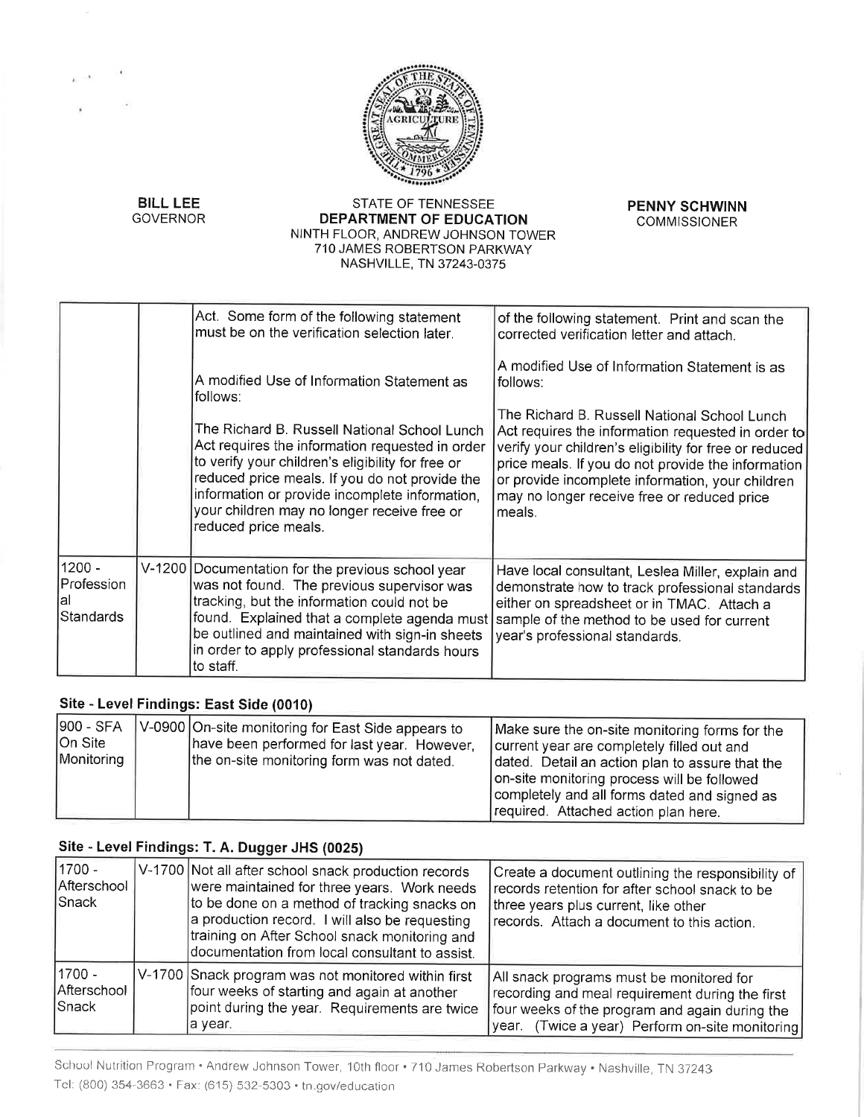

**BILL LEE GOVERNOR** 

### STATE OF TENNESSEE **DEPARTMENT OF EDUCATION** NINTH FLOOR, ANDREW JOHNSON TOWER 710 JAMES ROBERTSON PARKWAY NASHVILLE, TN 37243-0375

**PENNY SCHWINN COMMISSIONER** 

|                                                | Act. Some form of the following statement<br>must be on the verification selection later.                                                                                                                                                                                                                                                                         | of the following statement. Print and scan the<br>corrected verification letter and attach.                                                                                                                                                                                                                                                                                                    |
|------------------------------------------------|-------------------------------------------------------------------------------------------------------------------------------------------------------------------------------------------------------------------------------------------------------------------------------------------------------------------------------------------------------------------|------------------------------------------------------------------------------------------------------------------------------------------------------------------------------------------------------------------------------------------------------------------------------------------------------------------------------------------------------------------------------------------------|
|                                                | A modified Use of Information Statement as<br>follows:<br>The Richard B. Russell National School Lunch<br>Act requires the information requested in order<br>to verify your children's eligibility for free or<br>reduced price meals. If you do not provide the<br>information or provide incomplete information,<br>your children may no longer receive free or | A modified Use of Information Statement is as<br>lfollows:<br>The Richard B. Russell National School Lunch<br>Act requires the information requested in order to<br>verify your children's eligibility for free or reduced<br>price meals. If you do not provide the information<br>or provide incomplete information, your children<br>may no longer receive free or reduced price<br>lmeals. |
|                                                | reduced price meals.                                                                                                                                                                                                                                                                                                                                              |                                                                                                                                                                                                                                                                                                                                                                                                |
| 1200 -<br>Profession<br>al<br><b>Standards</b> | V-1200   Documentation for the previous school year<br>was not found. The previous supervisor was<br>tracking, but the information could not be<br>found. Explained that a complete agenda must<br>be outlined and maintained with sign-in sheets<br>in order to apply professional standards hours<br>to staff.                                                  | Have local consultant, Leslea Miller, explain and<br>demonstrate how to track professional standards<br>either on spreadsheet or in TMAC. Attach a<br>sample of the method to be used for current<br>year's professional standards.                                                                                                                                                            |

## Site - Level Findings: East Side (0010)

| 900 - SFA                                          | Make sure the on-site monitoring forms for the  |
|----------------------------------------------------|-------------------------------------------------|
| V-0900 On-site monitoring for East Side appears to | current year are completely filled out and      |
| On Site                                            | dated. Detail an action plan to assure that the |
| have been performed for last year. However,        | on-site monitoring process will be followed     |
| Monitoring                                         | completely and all forms dated and signed as    |
| the on-site monitoring form was not dated.         | required. Attached action plan here.            |

# Site - Level Findings: T. A. Dugger JHS (0025)

| 1700 -<br>Afterschool<br>Snack   | V-1700 Not all after school snack production records<br>were maintained for three years. Work needs<br>to be done on a method of tracking snacks on<br>a production record. I will also be requesting<br>training on After School snack monitoring and<br>documentation from local consultant to assist. | Create a document outlining the responsibility of<br>records retention for after school snack to be<br>three years plus current, like other<br>records. Attach a document to this action.        |
|----------------------------------|----------------------------------------------------------------------------------------------------------------------------------------------------------------------------------------------------------------------------------------------------------------------------------------------------------|--------------------------------------------------------------------------------------------------------------------------------------------------------------------------------------------------|
| 1700 -<br>Afterschool<br>lSnack. | V-1700 Snack program was not monitored within first<br>four weeks of starting and again at another<br>point during the year. Requirements are twice<br>la year.                                                                                                                                          | All snack programs must be monitored for<br>recording and meal requirement during the first<br>four weeks of the program and again during the<br>year. (Twice a year) Perform on-site monitoring |